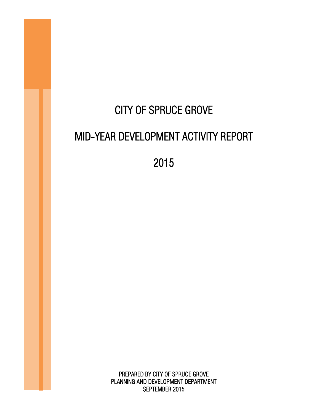# CITY OF SPRUCE GROVE MID-YEAR DEVELOPMENT ACTIVITY REPORT

2015

PREPARED BY CITY OF SPRUCE GROVE PLANNING AND DEVELOPMENT DEPARTMENT SEPTEMBER 2015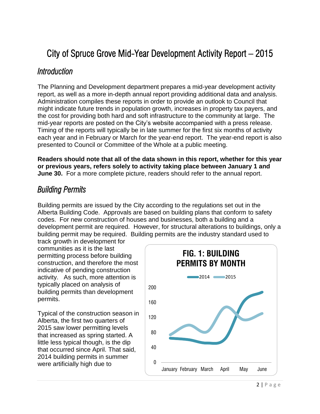# City of Spruce Grove Mid-Year Development Activity Report – 2015

#### *Introduction*

The Planning and Development department prepares a mid-year development activity report, as well as a more in-depth annual report providing additional data and analysis. Administration compiles these reports in order to provide an outlook to Council that might indicate future trends in population growth, increases in property tax payers, and the cost for providing both hard and soft infrastructure to the community at large. The mid-year reports are posted on the City's website accompanied with a press release. Timing of the reports will typically be in late summer for the first six months of activity each year and in February or March for the year-end report. The year-end report is also presented to Council or Committee of the Whole at a public meeting.

**Readers should note that all of the data shown in this report, whether for this year or previous years, refers solely to activity taking place between January 1 and June 30.** For a more complete picture, readers should refer to the annual report.

## *Building Permits*

Building permits are issued by the City according to the regulations set out in the Alberta Building Code. Approvals are based on building plans that conform to safety codes. For new construction of houses and businesses, both a building and a development permit are required. However, for structural alterations to buildings, only a building permit may be required. Building permits are the industry standard used to

track growth in development for communities as it is the last permitting process before building construction, and therefore the most indicative of pending construction activity. As such, more attention is typically placed on analysis of building permits than development permits.

Typical of the construction season in Alberta, the first two quarters of 2015 saw lower permitting levels that increased as spring started. A little less typical though, is the dip that occurred since April. That said, 2014 building permits in summer were artificially high due to  $\frac{0}{0}$ 

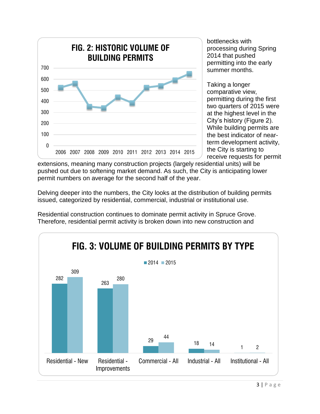

bottlenecks with processing during Spring 2014 that pushed permitting into the early summer months.

Taking a longer comparative view, permitting during the first two quarters of 2015 were at the highest level in the City's history (Figure 2). While building permits are the best indicator of nearterm development activity, the City is starting to receive requests for permit

extensions, meaning many construction projects (largely residential units) will be pushed out due to softening market demand. As such, the City is anticipating lower permit numbers on average for the second half of the year.

Delving deeper into the numbers, the City looks at the distribution of building permits issued, categorized by residential, commercial, industrial or institutional use.



Residential construction continues to dominate permit activity in Spruce Grove. Therefore, residential permit activity is broken down into new construction and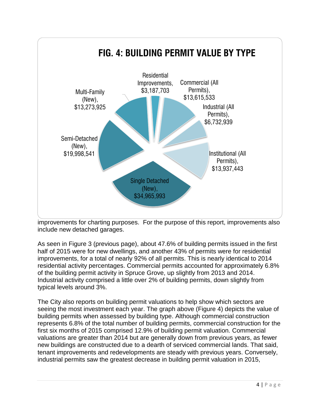

improvements for charting purposes. For the purpose of this report, improvements also include new detached garages.

As seen in Figure 3 (previous page), about 47.6% of building permits issued in the first half of 2015 were for new dwellings, and another 43% of permits were for residential improvements, for a total of nearly 92% of all permits. This is nearly identical to 2014 residential activity percentages. Commercial permits accounted for approximately 6.8% of the building permit activity in Spruce Grove, up slightly from 2013 and 2014. Industrial activity comprised a little over 2% of building permits, down slightly from typical levels around 3%.

The City also reports on building permit valuations to help show which sectors are seeing the most investment each year. The graph above (Figure 4) depicts the value of building permits when assessed by building type. Although commercial construction represents 6.8% of the total number of building permits, commercial construction for the first six months of 2015 comprised 12.9% of building permit valuation. Commercial valuations are greater than 2014 but are generally down from previous years, as fewer new buildings are constructed due to a dearth of serviced commercial lands. That said, tenant improvements and redevelopments are steady with previous years. Conversely, industrial permits saw the greatest decrease in building permit valuation in 2015,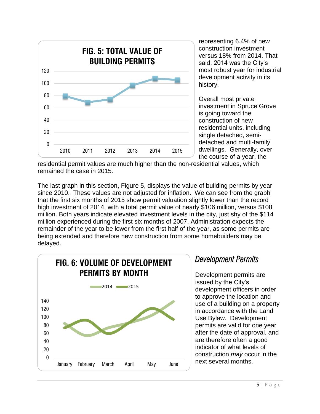

representing 6.4% of new construction investment versus 18% from 2014. That said, 2014 was the City's most robust year for industrial development activity in its history.

Overall most private investment in Spruce Grove is going toward the construction of new residential units, including single detached, semidetached and multi-family dwellings. Generally, over the course of a year, the

residential permit values are much higher than the non-residential values, which remained the case in 2015.

The last graph in this section, Figure 5, displays the value of building permits by year since 2010. These values are not adjusted for inflation. We can see from the graph that the first six months of 2015 show permit valuation slightly lower than the record high investment of 2014, with a total permit value of nearly \$106 million, versus \$108 million. Both years indicate elevated investment levels in the city, just shy of the \$114 million experienced during the first six months of 2007. Administration expects the remainder of the year to be lower from the first half of the year, as some permits are being extended and therefore new construction from some homebuilders may be delayed.



# *Development Permits*

Development permits are issued by the City's development officers in order to approve the location and use of a building on a property in accordance with the Land Use Bylaw. Development permits are valid for one year after the date of approval, and are therefore often a good indicator of what levels of construction *may* occur in the next several months.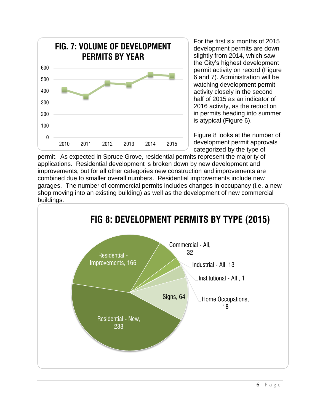

For the first six months of 2015 development permits are down slightly from 2014, which saw the City's highest development permit activity on record (Figure 6 and 7). Administration will be watching development permit activity closely in the second half of 2015 as an indicator of 2016 activity, as the reduction in permits heading into summer is atypical (Figure 6).

Figure 8 looks at the number of development permit approvals categorized by the type of

permit. As expected in Spruce Grove, residential permits represent the majority of applications. Residential development is broken down by new development and improvements, but for all other categories new construction and improvements are combined due to smaller overall numbers. Residential improvements include new garages. The number of commercial permits includes changes in occupancy (i.e. a new shop moving into an existing building) as well as the development of new commercial buildings.

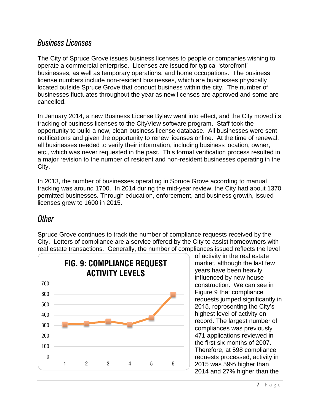#### *Business Licenses*

The City of Spruce Grove issues business licenses to people or companies wishing to operate a commercial enterprise. Licenses are issued for typical 'storefront' businesses, as well as temporary operations, and home occupations. The business license numbers include non-resident businesses, which are businesses physically located outside Spruce Grove that conduct business within the city. The number of businesses fluctuates throughout the year as new licenses are approved and some are cancelled.

In January 2014, a new Business License Bylaw went into effect, and the City moved its tracking of business licenses to the CityView software program. Staff took the opportunity to build a new, clean business license database. All businesses were sent notifications and given the opportunity to renew licenses online. At the time of renewal, all businesses needed to verify their information, including business location, owner, etc., which was never requested in the past. This formal verification process resulted in a major revision to the number of resident and non-resident businesses operating in the City.

In 2013, the number of businesses operating in Spruce Grove according to manual tracking was around 1700. In 2014 during the mid-year review, the City had about 1370 permitted businesses. Through education, enforcement, and business growth, issued licenses grew to 1600 in 2015.

## *Other*

Spruce Grove continues to track the number of compliance requests received by the City. Letters of compliance are a service offered by the City to assist homeowners with real estate transactions. Generally, the number of compliances issued reflects the level



of activity in the real estate market, although the last few years have been heavily influenced by new house construction. We can see in Figure 9 that compliance requests jumped significantly in 2015, representing the City's highest level of activity on record. The largest number of compliances was previously 471 applications reviewed in the first six months of 2007. Therefore, at 598 compliance requests processed, activity in 2015 was 59% higher than 2014 and 27% higher than the